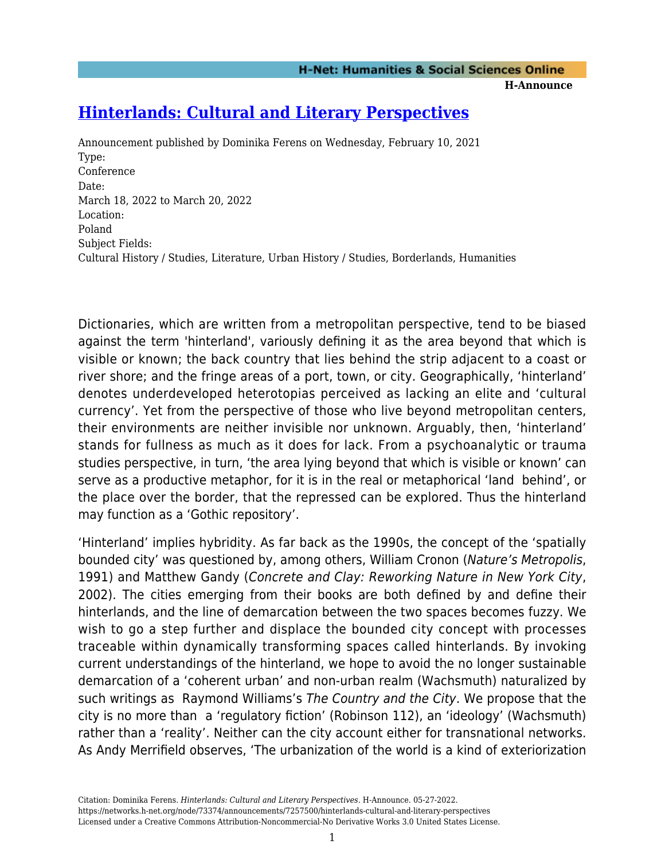**H-Announce** 

# **[Hinterlands: Cultural and Literary Perspectives](https://networks.h-net.org/node/73374/announcements/7257500/hinterlands-cultural-and-literary-perspectives)**

Announcement published by Dominika Ferens on Wednesday, February 10, 2021 Type: Conference Date: March 18, 2022 to March 20, 2022 Location: Poland Subject Fields: Cultural History / Studies, Literature, Urban History / Studies, Borderlands, Humanities

Dictionaries, which are written from a metropolitan perspective, tend to be biased against the term 'hinterland', variously defining it as the area beyond that which is visible or known; the back country that lies behind the strip adjacent to a coast or river shore; and the fringe areas of a port, town, or city. Geographically, 'hinterland' denotes underdeveloped heterotopias perceived as lacking an elite and 'cultural currency'. Yet from the perspective of those who live beyond metropolitan centers, their environments are neither invisible nor unknown. Arguably, then, 'hinterland' stands for fullness as much as it does for lack. From a psychoanalytic or trauma studies perspective, in turn, 'the area lying beyond that which is visible or known' can serve as a productive metaphor, for it is in the real or metaphorical 'land behind', or the place over the border, that the repressed can be explored. Thus the hinterland may function as a 'Gothic repository'.

'Hinterland' implies hybridity. As far back as the 1990s, the concept of the 'spatially bounded city' was questioned by, among others, William Cronon (Nature's Metropolis, 1991) and Matthew Gandy (Concrete and Clay: Reworking Nature in New York City, 2002). The cities emerging from their books are both defined by and define their hinterlands, and the line of demarcation between the two spaces becomes fuzzy. We wish to go a step further and displace the bounded city concept with processes traceable within dynamically transforming spaces called hinterlands. By invoking current understandings of the hinterland, we hope to avoid the no longer sustainable demarcation of a 'coherent urban' and non-urban realm (Wachsmuth) naturalized by such writings as Raymond Williams's The Country and the City. We propose that the city is no more than a 'regulatory fiction' (Robinson 112), an 'ideology' (Wachsmuth) rather than a 'reality'. Neither can the city account either for transnational networks. As Andy Merrifield observes, 'The urbanization of the world is a kind of exteriorization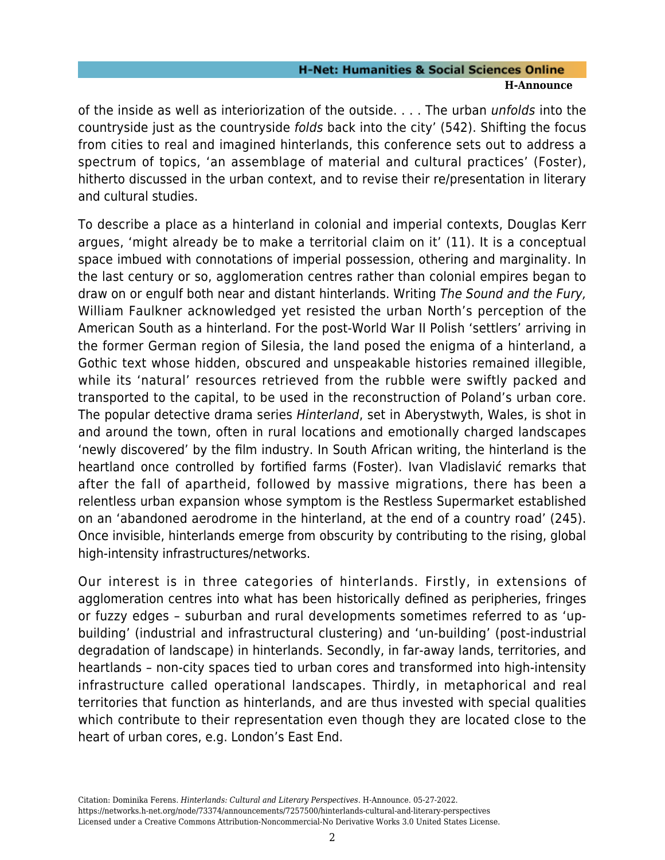of the inside as well as interiorization of the outside. . . . The urban unfolds into the countryside just as the countryside folds back into the city' (542). Shifting the focus from cities to real and imagined hinterlands, this conference sets out to address a spectrum of topics, 'an assemblage of material and cultural practices' (Foster), hitherto discussed in the urban context, and to revise their re/presentation in literary and cultural studies.

To describe a place as a hinterland in colonial and imperial contexts, Douglas Kerr argues, 'might already be to make a territorial claim on it' (11). It is a conceptual space imbued with connotations of imperial possession, othering and marginality. In the last century or so, agglomeration centres rather than colonial empires began to draw on or engulf both near and distant hinterlands. Writing The Sound and the Fury, William Faulkner acknowledged yet resisted the urban North's perception of the American South as a hinterland. For the post-World War II Polish 'settlers' arriving in the former German region of Silesia, the land posed the enigma of a hinterland, a Gothic text whose hidden, obscured and unspeakable histories remained illegible, while its 'natural' resources retrieved from the rubble were swiftly packed and transported to the capital, to be used in the reconstruction of Poland's urban core. The popular detective drama series Hinterland, set in Aberystwyth, Wales, is shot in and around the town, often in rural locations and emotionally charged landscapes 'newly discovered' by the film industry. In South African writing, the hinterland is the heartland once controlled by fortified farms (Foster). Ivan Vladislavić remarks that after the fall of apartheid, followed by massive migrations, there has been a relentless urban expansion whose symptom is the Restless Supermarket established on an 'abandoned aerodrome in the hinterland, at the end of a country road' (245). Once invisible, hinterlands emerge from obscurity by contributing to the rising, global high-intensity infrastructures/networks.

Our interest is in three categories of hinterlands. Firstly, in extensions of agglomeration centres into what has been historically defined as peripheries, fringes or fuzzy edges – suburban and rural developments sometimes referred to as 'upbuilding' (industrial and infrastructural clustering) and 'un-building' (post-industrial degradation of landscape) in hinterlands. Secondly, in far-away lands, territories, and heartlands – non-city spaces tied to urban cores and transformed into high-intensity infrastructure called operational landscapes. Thirdly, in metaphorical and real territories that function as hinterlands, and are thus invested with special qualities which contribute to their representation even though they are located close to the heart of urban cores, e.g. London's East End.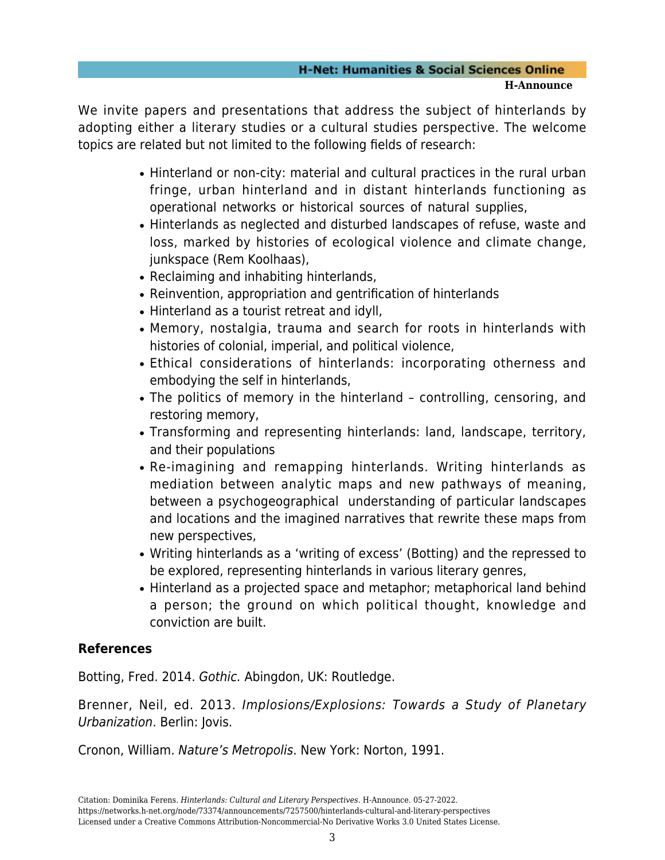We invite papers and presentations that address the subject of hinterlands by adopting either a literary studies or a cultural studies perspective. The welcome topics are related but not limited to the following fields of research:

- Hinterland or non-city: material and cultural practices in the rural urban fringe, urban hinterland and in distant hinterlands functioning as operational networks or historical sources of natural supplies,
- Hinterlands as neglected and disturbed landscapes of refuse, waste and loss, marked by histories of ecological violence and climate change, junkspace (Rem Koolhaas),
- Reclaiming and inhabiting hinterlands,
- Reinvention, appropriation and gentrification of hinterlands
- Hinterland as a tourist retreat and idyll.
- Memory, nostalgia, trauma and search for roots in hinterlands with histories of colonial, imperial, and political violence,
- Ethical considerations of hinterlands: incorporating otherness and embodying the self in hinterlands,
- The politics of memory in the hinterland controlling, censoring, and restoring memory,
- Transforming and representing hinterlands: land, landscape, territory, and their populations
- Re-imagining and remapping hinterlands. Writing hinterlands as mediation between analytic maps and new pathways of meaning, between a psychogeographical understanding of particular landscapes and locations and the imagined narratives that rewrite these maps from new perspectives,
- Writing hinterlands as a 'writing of excess' (Botting) and the repressed to be explored, representing hinterlands in various literary genres,
- Hinterland as a projected space and metaphor; metaphorical land behind a person; the ground on which political thought, knowledge and conviction are built.

## **References**

Botting, Fred. 2014. Gothic. Abingdon, UK: Routledge.

Brenner, Neil, ed. 2013. Implosions/Explosions: Towards a Study of Planetary Urbanization. Berlin: Jovis.

Cronon, William. Nature's Metropolis. New York: Norton, 1991.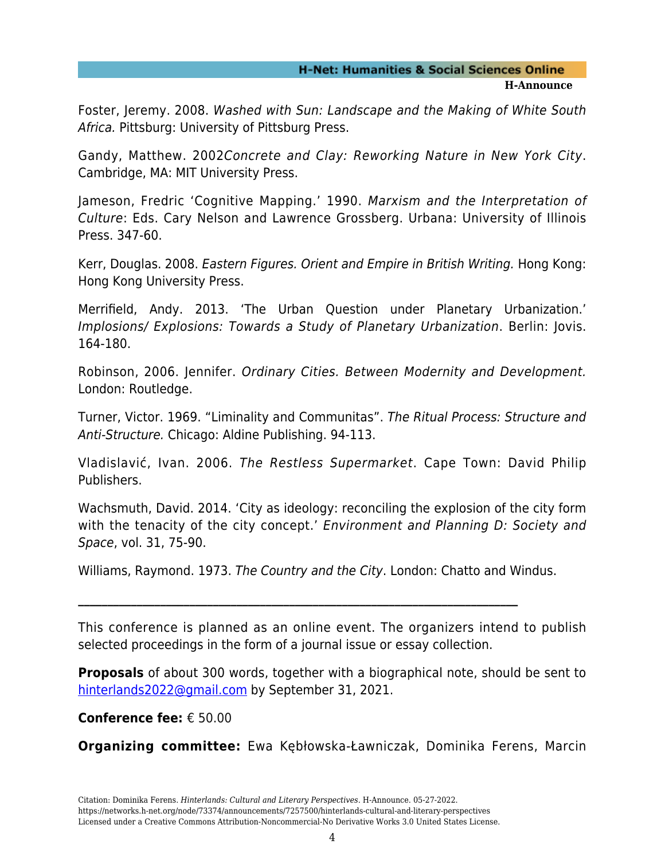Foster, Jeremy. 2008. Washed with Sun: Landscape and the Making of White South Africa. Pittsburg: University of Pittsburg Press.

Gandy, Matthew. 2002Concrete and Clay: Reworking Nature in New York City. Cambridge, MA: MIT University Press.

Jameson, Fredric 'Cognitive Mapping.' 1990. Marxism and the Interpretation of Culture: Eds. Cary Nelson and Lawrence Grossberg. Urbana: University of Illinois Press. 347-60.

Kerr, Douglas. 2008. Eastern Figures. Orient and Empire in British Writing. Hong Kong: Hong Kong University Press.

Merrifield, Andy. 2013. 'The Urban Question under Planetary Urbanization.' Implosions/ Explosions: Towards a Study of Planetary Urbanization. Berlin: Jovis. 164-180.

Robinson, 2006. Jennifer. Ordinary Cities. Between Modernity and Development. London: Routledge.

Turner, Victor. 1969. "Liminality and Communitas". The Ritual Process: Structure and Anti-Structure. Chicago: Aldine Publishing. 94-113.

Vladislavić, Ivan. 2006. The Restless Supermarket. Cape Town: David Philip Publishers.

Wachsmuth, David. 2014. 'City as ideology: reconciling the explosion of the city form with the tenacity of the city concept.' Environment and Planning D: Society and Space, vol. 31, 75-90.

Williams, Raymond. 1973. The Country and the City. London: Chatto and Windus.

**\_\_\_\_\_\_\_\_\_\_\_\_\_\_\_\_\_\_\_\_\_\_\_\_\_\_\_\_\_\_\_\_\_\_\_\_\_\_\_\_\_\_\_\_\_\_\_\_\_\_\_\_\_\_\_\_\_\_\_\_\_\_\_\_\_\_\_\_\_\_\_\_\_\_\_**

This conference is planned as an online event. The organizers intend to publish selected proceedings in the form of a journal issue or essay collection.

**Proposals** of about 300 words, together with a biographical note, should be sent to [hinterlands2022@gmail.com](mailto:hinterlands2022@gmail.com) by September 31, 2021.

**Conference fee:** € 50.00

**Organizing committee:** Ewa Kębłowska-Ławniczak, Dominika Ferens, Marcin